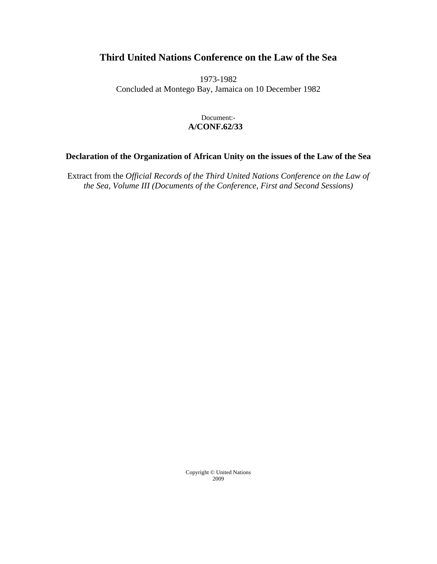# **Third United Nations Conference on the Law of the Sea**

1973-1982 Concluded at Montego Bay, Jamaica on 10 December 1982

# Document:- **A/CONF.62/33**

# **Declaration of the Organization of African Unity on the issues of the Law of the Sea**

Extract from the *Official Records of the Third United Nations Conference on the Law of the Sea, Volume III (Documents of the Conference, First and Second Sessions)* 

> Copyright © United Nations 2009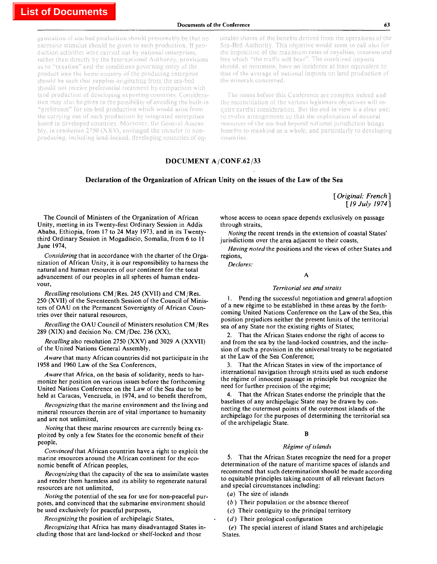#### **Documents of the Conference** *63*

ganization of sca-bed production should presumably be that no excessive stimulus should be given to such production. If production activities were carried out by national enterprises, rather than directly by the International Authority, provisions as to "taxation" and the conditions governing entry of the product into the home country of the producing enterprise should be such that supplies originating from the sea-bed should not receive preferential treatment by comparison with land production of developing exporting countries. Consideration may also be given to the possibility of avoiding the built-in "preference" for sea-bed production which would arise from the carrying out of such production by integrated enterprises based in developed countries. Moreover, the General Assembly, in resolution 2750 (XXV), envisaged the transfer to nonproducing, including land-locked, developing countries of equitable shares of the benefits derived from the operations of the Sea-Bed Authority. This objective would seem to call also for the imposition of the maximum rates of royalties, taxation and fees which "the traffic will bear". The combined imposts should, at minimum, have an incidence at least equivalent to that of the average of national imposts on land production of the minerals concerned.

The issues before this Conference are complex indeed and the reconciliation of the various legitimate objectives will require careful consideration. But the end in view is a clear one: to evolve arrangements so that the exploitation of mineral resources of the sea-bed beyond national jurisdiction brings benefits to mankind as a whole, and particularly to developing countries.

# **DOCUMENT A/CONF.62/33**

## **Declaration of the Organization of African Unity on the issues of the Law of the Sea**

[ *Original: French ] [19 July 1974]*

The Council of Ministers of the Organization of African Unity, meeting in its Twenty-first Ordinary Session in Addis Ababa, Ethiopia, from 17 to 24 May 1973, and in its Twentythird Ordinary Session in Mogadiscio, Somalia, from 6 to 11 June 1974,

*Considering* that in accordance with the charter of the Organization of African Unity, it is our responsibility to harness the natural and human resources of our continent for the total advancement of our peoples in all spheres of human endeavour,

*Recalling* resolutions CM/Res. 245 (XVII) and CM/Res. 250 (XVII) of the Seventeenth Session of the Council of Ministers of OAU on the Permanent Sovereignty of African Countries over their natural resources,

*Recalling the* OAU Council of Ministers resolution CM /Res 289 (XIX) and decision No. CM/Dec. 236 (XX),

*Recalling a\so* resolution 2750 (XXV) and 3029 A (XXVII) of the United Nations General Assembly,

*A ware* that many African countries did not participate in the 1958 and 1960 Law of the Sea Conferences,

*Aware that* Africa, on the basis of solidarity, needs to harmonize her position on various issues before the forthcoming United Nations Conference on the Law of the Sea due to be held at Caracas, Venezuela, in 1974, and to benefit therefrom,

*Recognizing* that the marine environment and the living and mineral resources therein are of vital importance to humanity and are not unlimited,

*Noting that* these marine resources are currently being exploited by only a few States for the economic benefit of their people,

*Convinced that* African countries have a right to exploit the marine resources around the African continent for the economic benefit of African peoples,

*Recognizing that* the capacity of the sea to assimilate wastes and render them harmless and its ability to regenerate natural resources are not unlimited,

*Noting* the potential of the sea for use for non-peaceful purposes, and convinced that the submarine environment should be used exclusively for peaceful purposes,

*Recognizing the* position of archipelagic States,

*Recognizing that* Africa has many disadvantaged States including those that are land-locked or shelf-locked and those

whose access to ocean space depends exclusively on passage through straits,

*Noting* the recent trends in the extension of coastal States' jurisdictions over the area adjacent to their coasts,

*Having noted the* positions and the views of other States and regions,

*Declares:*

A

#### *Territorial sea and straits*

1. Pending the successful negotiation and general adoption of a new régime to be established in these areas by the forthcoming United Nations Conference on the Law of the Sea, this position prejudices neither the present limits of the territorial sea of any State nor the existing rights of States;

2. That the African States endorse the right of access to and from the sea by the land-locked countries, and the inclusion of such a provision in the universal treaty to be negotiated at the Law of the Sea Conference;

3. That the African States in view of the importance of international navigation through straits used as such endorse the régime of innocent passage in principle but recognize the need for further precision of the régime;

4. That the African States endorse the principle that the baselines of any archipelagic State may be drawn by connecting the outermost points of the outermost islands of the archipelago for the purposes of determining the territorial sea of the archipelagic State.

## B

### *Regime of islands*

5. That the African States recognize the need for a proper determination of the nature of maritime spaces of islands and recommend that such determination should be made according to equitable principles taking account of all relevant factors and special circumstances including:

- *(a)* The size of islands
- *(b)* Their population or the absence thereof
- *(c)* Their contiguity to the principal territory
- *(d)* Their geological configuration

*(e)* The special interest of island States and archipelagic States.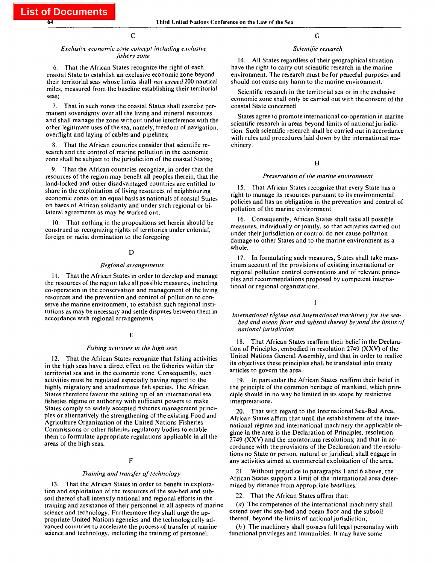$\overline{C}$ 

#### *Exclusive economic zone concept including exclusive fishery zone*

6. That the African States recognize the right of each coastal State to establish an exclusive economic zone beyond their territorial seas whose limits shall *not exceed* 200 nautical miles, measured from the baseline establishing their territorial seas;

7. That in such zones the coastal States shall exercise permanent sovereignty over all the living and mineral resources and shall manage the zone without undue interference with the other legitimate uses of the sea, namely, freedom of navigation, overflight and laying of cables and pipelines;

8. That the African countries consider that scientific research and the control of marine pollution in the economic zone shall be subject to the jurisdiction of the coastal States;

9. That the African countries recognize, in order that the resources of the region may benefit all peoples therein, that the land-locked and other disadvantaged countries are entitled to share in the exploitation of living resources of neighbouring economic zones on an equal basis as nationals of coastal States on bases of African solidarity and under such regional or bilateral agreements as may be worked out;

10. That nothing in the propositions set herein should be construed as recognizing rights of territories under colonial, foreign or racist domination to the foregoing.

#### D

#### *Regional arrangements*

11. That the African States in order to develop and manage the resources of the region take all possible measures, including co-operation in the conservation and management of the living resources and the prevention and control of pollution to conserve the marine environment, to establish such regional institutions as may be necessary and settle disputes between them in accordance with regional arrangements.

#### E

#### *Fishing activities in the high seas*

12. That the African States recognize that fishing activities in the high seas have a direct effect on the fisheries within the territorial sea and in the economic zone. Consequently, such activities must be regulated especially having regard to the highly migratory and anadromous fish species. The African States therefore favour the setting up of an international sea fisheries regime or authority with sufficient powers to make States comply to widely accepted fisheries management principles or alternatively the strengthening of the existing Food and Agriculture Organization of the United Nations Fisheries Commissions or other fisheries regulatory bodies to enable them to formulate appropriate regulations applicable in all the areas of the high seas.

#### F

#### *Training and transfer of technology*

13. That the African States in order to benefit in exploration and exploitation of the resources of the sea-bed and subsoil thereof shall intensify national and regional efforts in the training and assistance of their personnel in all aspects of marine science and technology. Furthermore they shall urge the appropriate United Nations agencies and the technologically advanced countries to accelerate the process of transfer of marine science and technology, including the training of personnel.

# G

#### *Scientific research*

14. All States regardless of their geographical situation have the right to carry out scientific research in the marine environment. The research must be for peaceful purposes and should not cause any harm to the marine environment.

Scientific research in the territorial sea or in the exclusive economic zone shall only be carried out with the consent of the coastal State concerned.

States agree to promote international co-operation in marine scientific research in areas beyond limits of national jurisdiction. Such scientific research shall be carried out in accordance with rules and procedures laid down by the international machinery.

#### H

# *Preservation of the marine environment*

15. That African States recognize that every State has a right to manage its resources pursuant to its environmental policies and has an obligation in the prevention and control of pollution of the marine environment.

16. Consequently, African States shall take all possible measures, individually or jointly, so that activities carried out under their jurisdiction or control do not cause pollution damage to other States and to the marine environment as a whole.

17. In formulating such measures, States shall take maximum account of the provisions of existing international or regional pollution control conventions and of relevant principles and recommendations proposed by competent international or regional organizations.

I

International régime and international machinery for the sea*bed and ocean floor and subsoil thereof beyond the limits of national jurisdiction*

18. That African States reaffirm their belief in the Declaration of Principles, embodied in resolution 2749 (XXV) of the United Nations General Assembly, and that in order to realize its objectives these principles shall be translated into treaty articles to govern the area.

19. In particular the African States reaffirm their belief in the principle of the common heritage of mankind, which principle should in no way be limited in its scope by restrictive interpretations.

20. That with regard to the International Sea-Bed Area, African States affirm that until the establishment of the international régime and international machinery the applicable régime in the area is the Declaration of Principles, resolution 2749 (XXV) and the moratorium resolutions; and that in accordance with the provisions of the Declaration and the resolutions no State or person, natural or juridical, shall engage in any activities aimed at commercial exploitation of the area.

21. Without prejudice to paragraphs 1 and 6 above, the African States support a limit of the international area determined by distance from appropriate baselines.

22. That the African States affirm that:

*(a)* The competence of the international machinery shall extend over the sea-bed and ocean floor and the subsoil thereof, beyond the limits of national jurisdiction;

*(b)* The machinery shall possess full legal personality with functional privileges and immunities. It may have some